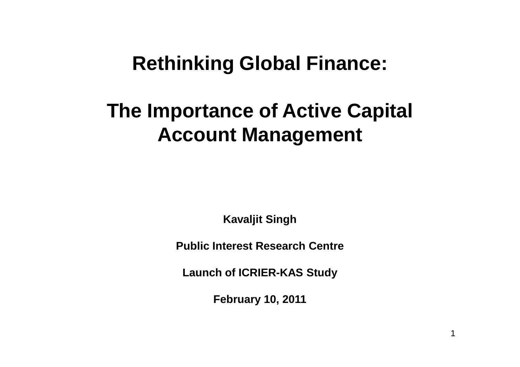## **Rethinking Global Finance:**

# **The Importance of Active Capital Account Management**

**Kavaljit Singh** 

**Public Interest Research Centre** 

**Launch of ICRIER-KAS Study**

**February 10, 2011**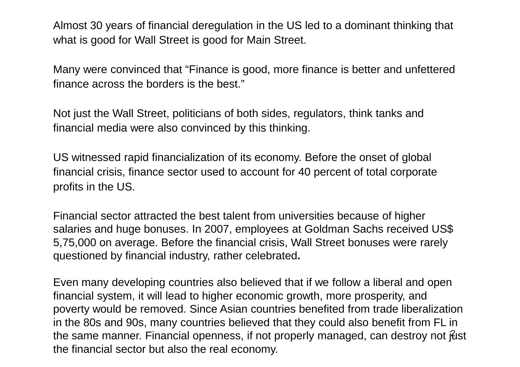Almost 30 years of financial deregulation in the US led to a dominant thinking that what is good for Wall Street is good for Main Street.

Many were convinced that "Finance is good, more finance is better and unfettered finance across the borders is the best."

Not just the Wall Street, politicians of both sides, regulators, think tanks and financial media were also convinced by this thinking.

US witnessed rapid financialization of its economy. Before the onset of global financial crisis, finance sector used to account for 40 percent of total corporate profits in the US.

Financial sector attracted the best talent from universities because of higher salaries and huge bonuses. In 2007, employees at Goldman Sachs received US\$ 5,75,000 on average. Before the financial crisis, Wall Street bonuses were rarely questioned by financial industry, rather celebrated**.**

the same manner. Financial openness, if not properly managed, can destroy not just Even many developing countries also believed that if we follow a liberal and open financial system, it will lead to higher economic growth, more prosperity, and poverty would be removed. Since Asian countries benefited from trade liberalization in the 80s and 90s, many countries believed that they could also benefit from FL in the financial sector but also the real economy.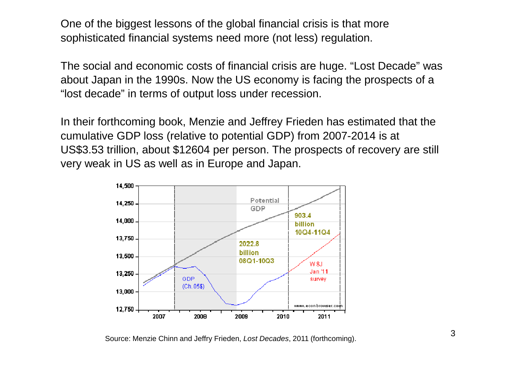One of the biggest lessons of the global financial crisis is that more sophisticated financial systems need more (not less) regulation.

The social and economic costs of financial crisis are huge. "Lost Decade" was about Japan in the 1990s. Now the US economy is facing the prospects of a "lost decade" in terms of output loss under recession.

In their forthcoming book, Menzie and Jeffrey Frieden has estimated that the cumulative GDP loss (relative to potential GDP) from 2007-2014 is at US\$3.53 trillion, about \$12604 per person. The prospects of recovery are still very weak in US as well as in Europe and Japan.



Source: Menzie Chinn and Jeffry Frieden, Lost Decades, 2011 (forthcoming).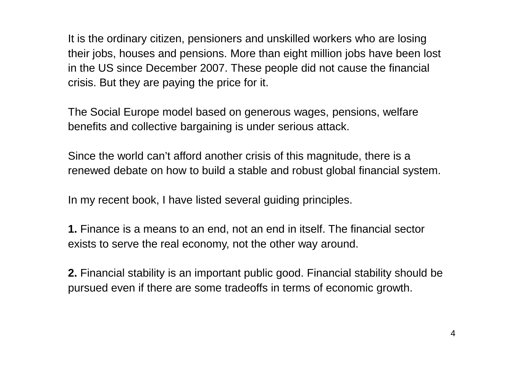It is the ordinary citizen, pensioners and unskilled workers who are losing their jobs, houses and pensions. More than eight million jobs have been lost in the US since December 2007. These people did not cause the financial crisis. But they are paying the price for it.

The Social Europe model based on generous wages, pensions, welfare benefits and collective bargaining is under serious attack.

Since the world can't afford another crisis of this magnitude, there is a renewed debate on how to build a stable and robust global financial system.

In my recent book, I have listed several guiding principles.

**1.** Finance is a means to an end, not an end in itself. The financial sector exists to serve the real economy, not the other way around.

**2.** Financial stability is an important public good. Financial stability should be pursued even if there are some tradeoffs in terms of economic growth.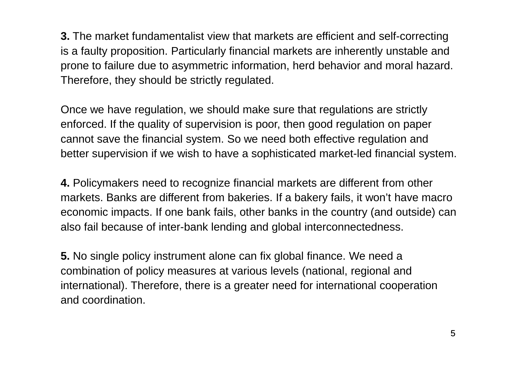**3.** The market fundamentalist view that markets are efficient and self-correcting is a faulty proposition. Particularly financial markets are inherently unstable and prone to failure due to asymmetric information, herd behavior and moral hazard. Therefore, they should be strictly regulated.

Once we have regulation, we should make sure that regulations are strictly enforced. If the quality of supervision is poor, then good regulation on paper cannot save the financial system. So we need both effective regulation and better supervision if we wish to have a sophisticated market-led financial system.

**4.** Policymakers need to recognize financial markets are different from other markets. Banks are different from bakeries. If a bakery fails, it won't have macro economic impacts. If one bank fails, other banks in the country (and outside) can also fail because of inter-bank lending and global interconnectedness.

**5.** No single policy instrument alone can fix global finance. We need a combination of policy measures at various levels (national, regional and international). Therefore, there is a greater need for international cooperation and coordination.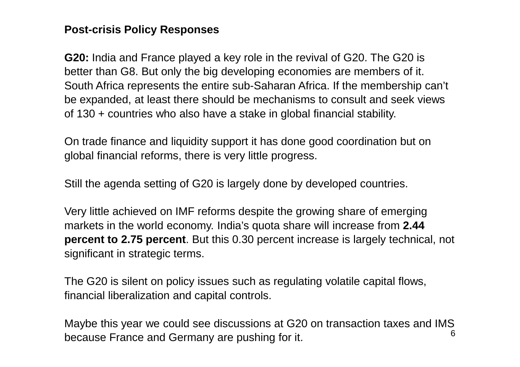#### **Post-crisis Policy Responses**

**G20:** India and France played a key role in the revival of G20. The G20 is better than G8. But only the big developing economies are members of it. South Africa represents the entire sub-Saharan Africa. If the membership can't be expanded, at least there should be mechanisms to consult and seek views of 130 + countries who also have a stake in global financial stability.

On trade finance and liquidity support it has done good coordination but on global financial reforms, there is very little progress.

Still the agenda setting of G20 is largely done by developed countries.

Very little achieved on IMF reforms despite the growing share of emerging markets in the world economy. India's quota share will increase from **2.44 percent to 2.75 percent**. But this 0.30 percent increase is largely technical, notsignificant in strategic terms.

The G20 is silent on policy issues such as regulating volatile capital flows, financial liberalization and capital controls.

6 Maybe this year we could see discussions at G20 on transaction taxes and IMS because France and Germany are pushing for it.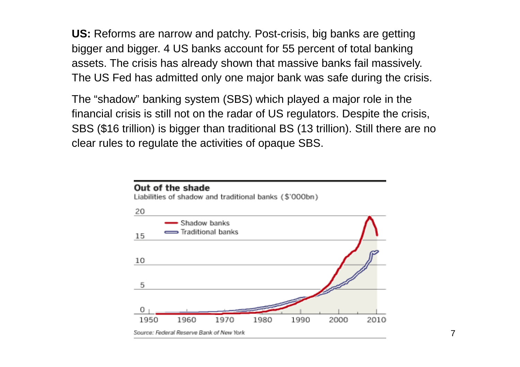**US:** Reforms are narrow and patchy. Post-crisis, big banks are getting bigger and bigger. 4 US banks account for 55 percent of total banking assets. The crisis has already shown that massive banks fail massively. The US Fed has admitted only one major bank was safe during the crisis.

The "shadow" banking system (SBS) which played a major role in the financial crisis is still not on the radar of US regulators. Despite the crisis, SBS (\$16 trillion) is bigger than traditional BS (13 trillion). Still there are no clear rules to regulate the activities of opaque SBS.

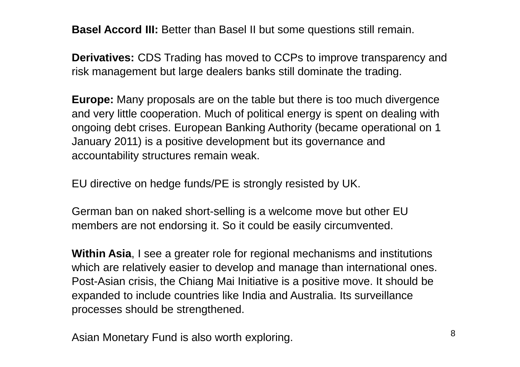**Basel Accord III:** Better than Basel II but some questions still remain.

**Derivatives:** CDS Trading has moved to CCPs to improve transparency andrisk management but large dealers banks still dominate the trading.

**Europe:** Many proposals are on the table but there is too much divergence and very little cooperation. Much of political energy is spent on dealing with ongoing debt crises. European Banking Authority (became operational on 1 January 2011) is a positive development but its governance and accountability structures remain weak.

EU directive on hedge funds/PE is strongly resisted by UK.

German ban on naked short-selling is a welcome move but other EU members are not endorsing it. So it could be easily circumvented.

**Within Asia**, I see a greater role for regional mechanisms and institutions which are relatively easier to develop and manage than international ones. Post-Asian crisis, the Chiang Mai Initiative is a positive move. It should be expanded to include countries like India and Australia. Its surveillance processes should be strengthened.

Asian Monetary Fund is also worth exploring.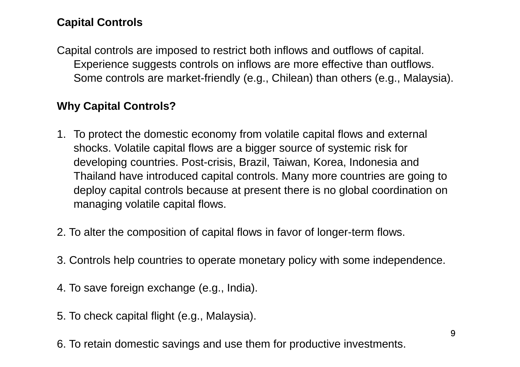### **Capital Controls**

Capital controls are imposed to restrict both inflows and outflows of capital. Experience suggests controls on inflows are more effective than outflows. Some controls are market-friendly (e.g., Chilean) than others (e.g., Malaysia).

#### **Why Capital Controls?**

- 1. To protect the domestic economy from volatile capital flows and external shocks. Volatile capital flows are a bigger source of systemic risk for developing countries. Post-crisis, Brazil, Taiwan, Korea, Indonesia and Thailand have introduced capital controls. Many more countries are going to deploy capital controls because at present there is no global coordination on managing volatile capital flows.
- 2. To alter the composition of capital flows in favor of longer-term flows.
- 3. Controls help countries to operate monetary policy with some independence.
- 4. To save foreign exchange (e.g., India).
- 5. To check capital flight (e.g., Malaysia).
- 6. To retain domestic savings and use them for productive investments.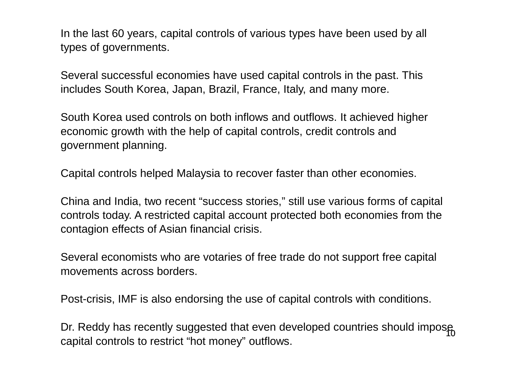In the last 60 years, capital controls of various types have been used by all types of governments.

Several successful economies have used capital controls in the past. This includes South Korea, Japan, Brazil, France, Italy, and many more.

South Korea used controls on both inflows and outflows. It achieved higher economic growth with the help of capital controls, credit controls and government planning.

Capital controls helped Malaysia to recover faster than other economies.

China and India, two recent "success stories," still use various forms of capital controls today. A restricted capital account protected both economies from the contagion effects of Asian financial crisis.

Several economists who are votaries of free trade do not support free capital movements across borders.

Post-crisis, IMF is also endorsing the use of capital controls with conditions.

Dr. Reddy has recently suggested that even developed countries should impose  $\frac{1}{10}$ capital controls to restrict "hot money" outflows.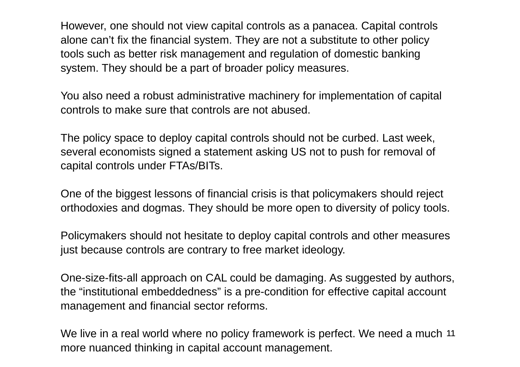However, one should not view capital controls as a panacea. Capital controls alone can't fix the financial system. They are not a substitute to other policy tools such as better risk management and regulation of domestic banking system. They should be a part of broader policy measures.

You also need a robust administrative machinery for implementation of capital controls to make sure that controls are not abused.

The policy space to deploy capital controls should not be curbed. Last week, several economists signed a statement asking US not to push for removal of capital controls under FTAs/BITs.

One of the biggest lessons of financial crisis is that policymakers should reject orthodoxies and dogmas. They should be more open to diversity of policy tools.

Policymakers should not hesitate to deploy capital controls and other measures just because controls are contrary to free market ideology.

One-size-fits-all approach on CAL could be damaging. As suggested by authors, the "institutional embeddedness" is a pre-condition for effective capital account management and financial sector reforms.

We live in a real world where no policy framework is perfect. We need a much 11 more nuanced thinking in capital account management.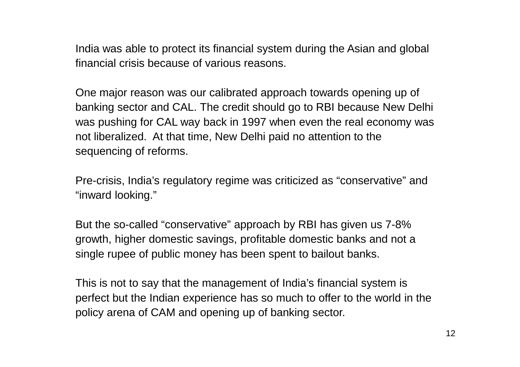India was able to protect its financial system during the Asian and global financial crisis because of various reasons.

One major reason was our calibrated approach towards opening up of banking sector and CAL. The credit should go to RBI because New Delhi was pushing for CAL way back in 1997 when even the real economy was not liberalized. At that time, New Delhi paid no attention to the sequencing of reforms.

Pre-crisis, India's regulatory regime was criticized as "conservative" and "inward looking."

But the so-called "conservative" approach by RBI has given us 7-8% growth, higher domestic savings, profitable domestic banks and not a single rupee of public money has been spent to bailout banks.

This is not to say that the management of India's financial system is perfect but the Indian experience has so much to offer to the world in the policy arena of CAM and opening up of banking sector.